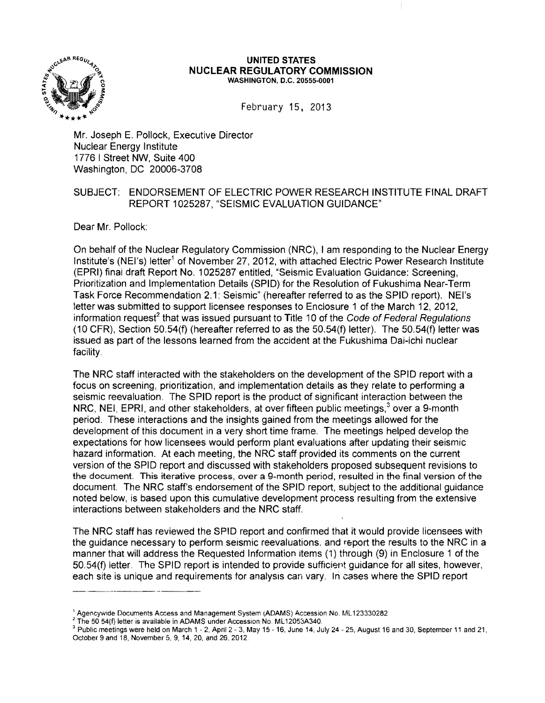

#### **UNITED STATES NUCLEAR REGULATORY COMMISSION** WASHINGTON, D.C. 20555-0001

February 15, 2013

Mr. Joseph E. Pollock, Executive Director Nuclear Energy Institute 1776 I Street NW, Suite 400 Washington, DC 20006-3708

## SUBJECT: ENDORSEMENT OF ELECTRIC POWER RESEARCH INSTITUTE FINAL DRAFT REPORT 1025287, "SEISMIC EVALUATION GUIDANCE"

Dear Mr. Pollock:

On behalf of the Nuclear Regulatory Commission (NRC), I am responding to the Nuclear Energy Institute's (NEI's) letter<sup>1</sup> of November 27, 2012, with attached Electric Power Research Institute (EPRI) final draft Report No. 1025287 entitled, "Seismic Evaluation Guidance: Screening, Prioritization and Implementation Details (SPID) for the Resolution of Fukushima Near-Term Task Force Recommendation 2.1: Seismic" (hereafter referred to as the SPID report). NEI's letter was submitted to support licensee responses to Enclosure 1 of the March 12, 2012, information request<sup>2</sup> that was issued pursuant to Title 10 of the Code of Federal Regulations (10 CFR), Section 50.54(f) (hereafter referred to as the 50.54(f) letter). The 50.54(f) letter was issued as part of the lessons learned from the accident at the Fukushima Dai-ichi nuclear facility.

The NRC staff interacted with the stakeholders on the development of the SPID report with a focus on screening, prioritization, and implementation details as they relate to performing a seismic reevaluation. The SPID report is the product of significant interaction between the NRC, NEI, EPRI, and other stakeholders, at over fifteen public meetings,<sup>3</sup> over a 9-month period. These interactions and the insights gained from the meetings allowed for the development of this document in a very short time frame. The meetings helped develop the expectations for how licensees would perform plant evaluations after updating their seismic hazard information. At each meeting, the NRC staff provided its comments on the current version of the SPID report and discussed with stakeholders proposed subsequent revisions to the document. This iterative process, over a 9-month period, resulted in the final version of the document. The NRC staff's endorsement of the SPID report, subject to the additional guidance noted below, is based upon this cumulative development process resulting from the extensive interactions between stakeholders and the NRC staff.

The NRC staff has reviewed the SPID report and confirmed that it would provide licensees with the guidance necessary to perform seismic reevaluations, and report the results to the NRC in a manner that will address the Requested Information items (1) through (9) in Enclosure 1 of the 50.54(f) letter. The SPID report is intended to provide sufficient guidance for all sites, however, each site is unique and requirements for analysis can vary. In cases where the SPID report

 $^1$  Agencywide Documents Access and Management System (ADAMS) Accession No. ML123330282

<sup>&</sup>lt;sup>2</sup> The 50 54(f) letter is available in ADAMS under Accession No. ML12053A340.

 $3$  Public meetings were held on March 1 - 2, April 2 - 3, May 15 - 16, June 14, July 24 - 25, August 16 and 30, September 11 and 21, October 9 and 18, November 5, 9, 14, 20, and 26, 2012.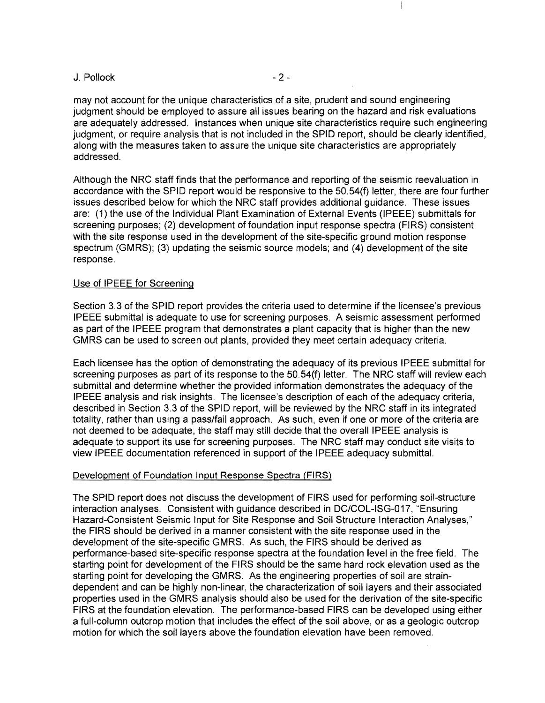#### $J.$  Pollock  $-2-$

may not account for the unique characteristics of a site, prudent and sound engineering judgment should be employed to assure all issues bearing on the hazard and risk evaluations are adequately addressed. Instances when unique site characteristics require such engineering judgment, or require analysis that is not included in the SPID report, should be clearly identified, along with the measures taken to assure the unique site characteristics are appropriately addressed.

Although the NRC staff finds that the performance and reporting of the seismic reevaluation in accordance with the SPID report would be responsive to the 50. 54(f) letter, there are four further issues described below for which the NRC staff provides additional guidance. These issues are: (1) the use of the Individual Plant Examination of External Events (IPEEE) submittals for screening purposes; (2) development of foundation input response spectra (FIRS) consistent with the site response used in the development of the site-specific ground motion response spectrum (GMRS); (3) updating the seismic source models; and (4) development of the site response.

#### Use of IPEEE for Screening

Section 3.3 of the SPID report provides the criteria used to determine if the licensee's previous IPEEE submittal is adequate to use for screening purposes. A seismic assessment performed as part of the IPEEE program that demonstrates a plant capacity that is higher than the new GMRS can be used to screen out plants, provided they meet certain adequacy criteria.

Each licensee has the option of demonstrating the adequacy of its previous IPEEE submittal for screening purposes as part of its response to the 50.54(f) letter. The NRC staff will review each submittal and determine whether the provided information demonstrates the adequacy of the IPEEE analysis and risk insights. The licensee's description of each of the adequacy criteria, described in Section 3.3 of the SPID report, will be reviewed by the NRC staff in its integrated totality, rather than using a pass/fail approach. As such, even if one or more of the criteria are not deemed to be adequate, the staff may still decide that the overall IPEEE analysis is adequate to support its use for screening purposes. The NRC staff may conduct site visits to view IPEEE documentation referenced in support of the IPEEE adequacy submittal.

#### Development of Foundation Input Response Spectra (FIRS)

The SPID report does not discuss the development of FIRS used for performing soil-structure interaction analyses. Consistent with guidance described in DC/COL-ISG-017, "Ensuring Hazard-Consistent Seismic Input for Site Response and Soil Structure Interaction Analyses," the FIRS should be derived in a manner consistent with the site response used in the development of the site-specific GMRS. As such, the FIRS should be derived as performance-based site-specific response spectra at the foundation level in the free field. The starting point for development of the FIRS should be the same hard rock elevation used as the starting point for developing the GMRS. As the engineering properties of soil are straindependent and can be highly non-linear, the characterization of soil layers and their associated properties used in the GMRS analysis should also be used for the derivation of the site-specific FIRS at the foundation elevation. The performance-based FIRS can be developed using either a full-column outcrop motion that includes the effect of the soil above, or as a geologic outcrop motion for which the soil layers above the foundation elevation have been removed.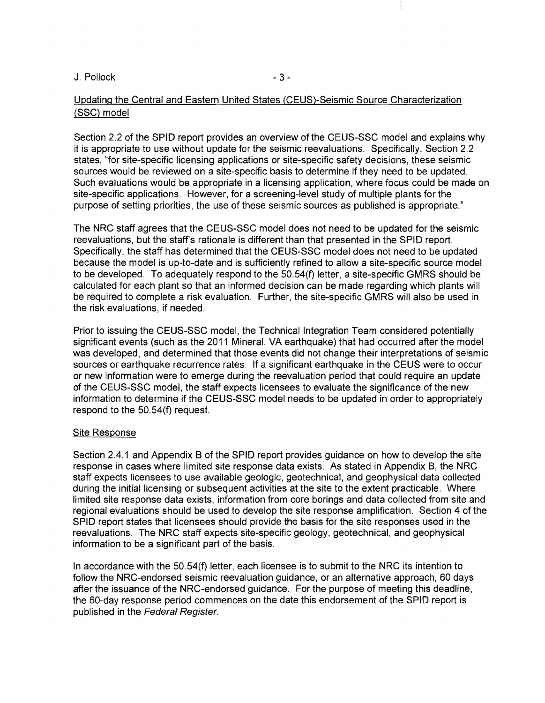$J.$  Pollock  $-3-$ 

## Updating the Central and Eastern United States (CEUS)-Seismic Source Characterization (SSG) model

Section 2.2 of the SPID report provides an overview of the CEUS-SSC model and explains why it is appropriate to use without update for the seismic reevaluations. Specifically, Section 2.2 states, "for site-specific licensing applications or site-specific safety decisions, these seismic sources would be reviewed on a site-specific basis to determine if they need to be updated. Such evaluations would be appropriate in a licensing application, where focus could be made on site-specific applications. However, for a screening-level study of multiple plants for the purpose of setting priorities, the use of these seismic sources as published is appropriate."

The NRC staff agrees that the CEUS-SSC model does not need to be updated for the seismic reevaluations, but the staff's rationale is different than that presented in the SPID report. Specifically, the staff has determined that the CEUS-SSC model does not need to be updated because the model is up-to-date and is sufficiently refined to allow a site-specific source model to be developed. To adequately respond to the 50.54(f) letter, a site-specific GMRS should be calculated for each plant so that an informed decision can be made regarding which plants will be required to complete a risk evaluation. Further, the site-specific GMRS will also be used in the risk evaluations, if needed.

Prior to issuing the CEUS-SSC model, the Technical Integration Team considered potentially significant events (such as the 2011 Mineral, VA earthquake) that had occurred after the model was developed, and determined that those events did not change their interpretations of seismic sources or earthquake recurrence rates. If a significant earthquake in the CEUS were to occur or new information were to emerge during the reevaluation period that could require an update of the CEUS-SSC model, the staff expects licensees to evaluate the significance of the new information to determine if the CEUS-SSC model needs to be updated in order to appropriately respond to the 50.54(f) request.

#### Site Response

Section 2.4.1 and Appendix 8 of the SPID report provides guidance on how to develop the site response in cases where limited site response data exists. As stated in Appendix 8, the NRC staff expects licensees to use available geologic, geotechnical, and geophysical data collected during the initial licensing or subsequent activities at the site to the extent practicable. Where limited site response data exists, information from core borings and data collected from site and regional evaluations should be used to develop the site response amplification. Section 4 of the SPID report states that licensees should provide the basis for the site responses used in the reevaluations. The NRC staff expects site-specific geology, geotechnical, and geophysical information to be a significant part of the basis.

In accordance with the 50.54(f) letter, each licensee is to submit to the NRC its intention to follow the NRC-endorsed seismic reevaluation guidance, or an alternative approach, 60 days after the issuance of the NRC-endorsed guidance. For the purpose of meeting this deadline, the 60-day response period commences on the date this endorsement of the SPID report is published in the Federal Register.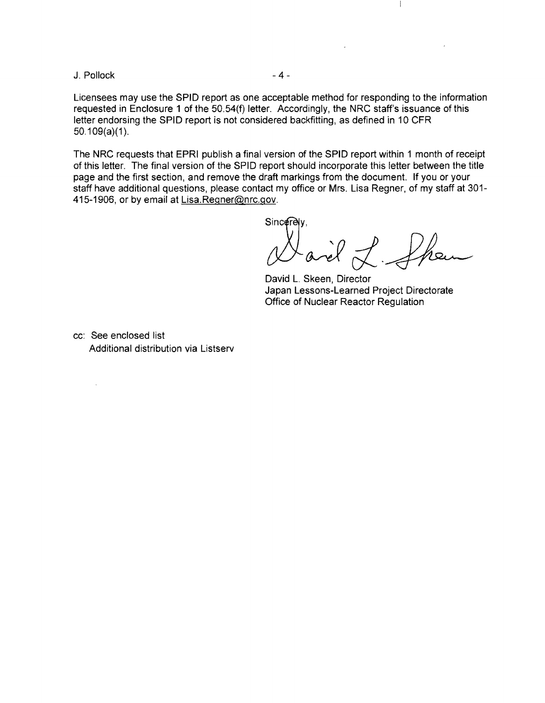$J.$  Pollock  $-4-$ 

 $\mathcal{L}^{\mathcal{L}}$ 

Licensees may use the SPID report as one acceptable method for responding to the information requested in Enclosure 1 of the 50.54(f) letter. Accordingly, the NRC staff's issuance of this letter endorsing the SPID report is not considered backfitting, as defined in 10 CFR  $50.109(a)(1)$ .

The NRC requests that EPRI publish a final version of the SPID report within 1 month of receipt of this letter. The final version of the SPID report should incorporate this letter between the title page and the first section, and remove the draft markings from the document. **If** you or your staff have additional questions, please contact my office or Mrs. Lisa Regner, of my staff at 301 415-1906, or by email at Lisa.Regner@nrc.gov.

 $N$ arèl L

 $\overline{\phantom{a}}$ 

David L. Skeen, Director Japan Lessons-Learned Project Directorate Office of Nuclear Reactor Regulation

cc: See enclosed list Additional distribution via Listserv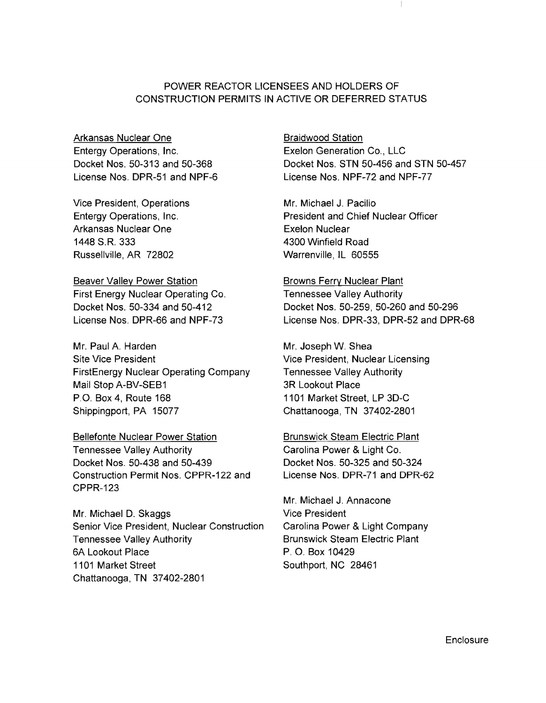## POWER REACTOR LICENSEES AND HOLDERS OF CONSTRUCTION PERMITS IN ACTIVE OR DEFERRED STATUS

Arkansas Nuclear One Entergy Operations, Inc. Docket Nos. 50-313 and 50-368 License Nos. DPR-51 and NPF-6

Vice President, Operations Entergy Operations, Inc. Arkansas Nuclear One 1448 S.R. 333 Russellville, AR 72802

Beaver Valley Power Station First Energy Nuclear Operating Co. Docket Nos. 50-334 and 50-412 License Nos. DPR-66 and NPF-73

Mr. Paul A. Harden Site Vice President FirstEnergy Nuclear Operating Company Mail Stop A-BV-SEB1 P.O. Box 4, Route 168 Shippingport, PA 15077

Bellefonte Nuclear Power Station

Tennessee Valley Authority Docket Nos. 50-438 and 50-439 Construction Permit Nos. CPPR-122 and CPPR-123

Mr. Michael D. Skaggs Senior Vice President, Nuclear Construction Tennessee Valley Authority 6A Lookout Place 1101 Market Street Chattanooga, TN 37402-2801

Braidwood Station Exelon Generation Co., LLC Docket Nos. STN 50-456 and STN 50-457 License Nos. NPF-72 and NPF-77

Mr. Michael J. Pacilio President and Chief Nuclear Officer Exelon Nuclear 4300 Winfield Road Warrenville, IL 60555

Browns Ferry Nuclear Plant Tennessee Valley Authority Docket Nos. 50-259, 50-260 and 50-296 License Nos. DPR-33, DPR-52 and DPR-68

Mr. Joseph W. Shea Vice President, Nuclear Licensing Tennessee Valley Authority 3R Lookout Place 1101 Market Street, LP 3D-C Chattanooga, TN 37402-2801

Brunswick Steam Electric Plant Carolina Power & Light Co. Docket Nos. 50-325 and 50-324 License Nos. DPR-71 and DPR-62

Mr. Michael J. Annacone Vice President Carolina Power & Light Company Brunswick Steam Electric Plant P. O. Box 10429 Southport, NC 28461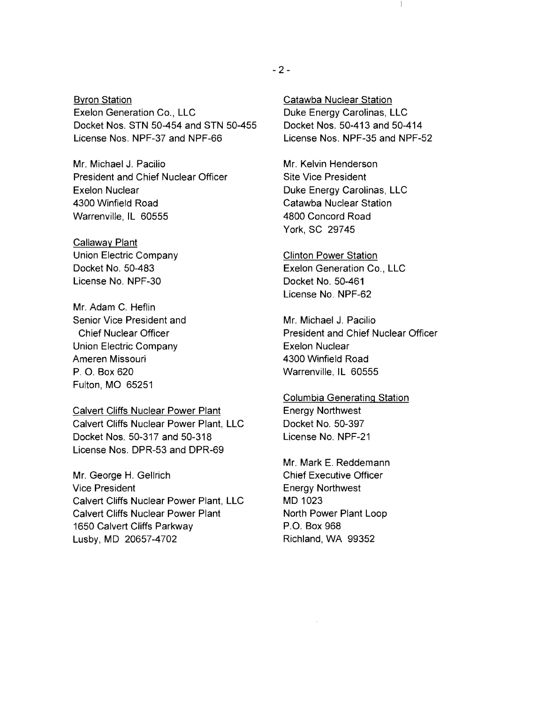Byron Station Exelon Generation Co., LLC Docket Nos. STN 50-454 and STN 50-455 License Nos. NPF-37 and NPF-66

Mr. Michael J. Pacilio President and Chief Nuclear Officer Exelon Nuclear 4300 Winfield Road Warrenville, IL 60555

Callaway Plant Union Electric Company Docket No. 50-483 License No. NPF-30

Mr. Adam C. Heflin Senior Vice President and Chief Nuclear Officer Union Electric Company Ameren Missouri P. O. Box 620 Fulton, MO 65251

Calvert Cliffs Nuclear Power Plant Calvert Cliffs Nuclear Power Plant, LLC Docket Nos. 50-317 and 50-318 License Nos. DPR-53 and DPR-69

Mr. George H. Gellrich Vice President Calvert Cliffs Nuclear Power Plant, LLC Calvert Cliffs Nuclear Power Plant 1650 Calvert Cliffs Parkway Lusby, MD 20657-4702

Catawba Nuclear Station Duke Energy Carolinas, LLC Docket Nos. 50-413 and 50-414 License Nos. NPF-35 and NPF-52

Mr. Kelvin Henderson Site Vice President Duke Energy Carolinas, LLC Catawba Nuclear Station 4800 Concord Road York, SC 29745

Clinton Power Station Exelon Generation Co., LLC Docket No. 50-461 License No. NPF-62

Mr. Michael J. Pacilio President and Chief Nuclear Officer Exelon Nuclear 4300 Winfield Road Warrenville, IL 60555

Columbia Generating Station Energy Northwest Docket No. 50-397 License No. NPF-21

Mr. Mark E. Reddemann Chief Executive Officer Energy Northwest MD 1023 North Power Plant Loop P.O. Box 968 Richland, WA 99352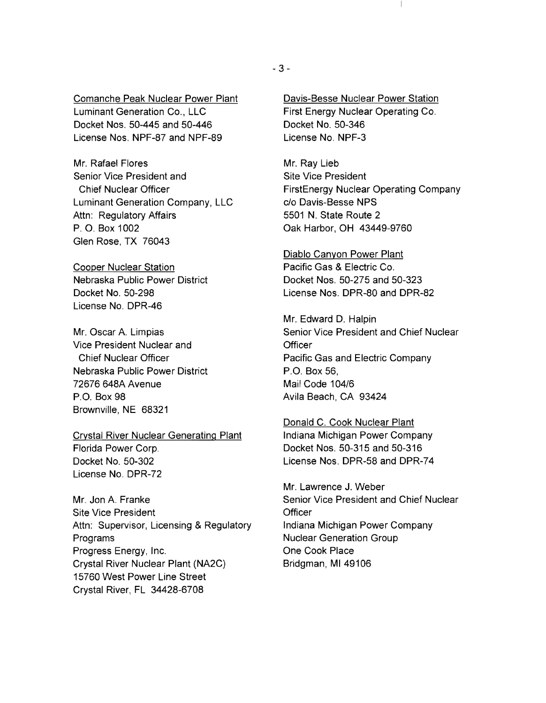Comanche Peak Nuclear Power Plant Luminant Generation Co., LLC Docket Nos. 50-445 and 50-446 License Nos. NPF-87 and NPF-89

Mr. Rafael Flores Senior Vice President and Chief Nuclear Officer Luminant Generation Company, LLC Attn: Regulatory Affairs P. O. Box 1002 Glen Rose, TX 76043

Cooper Nuclear Station Nebraska Public Power District Docket No. 50-298 License No. DPR-46

Mr. Oscar A. Limpias Vice President Nuclear and Chief Nuclear Officer Nebraska Public Power District 72676 648A Avenue P.O. Box 98 Brownville, NE 68321

Crystal River Nuclear Generating Plant Florida Power Corp. Docket No. 50-302 License No. DPR-72

Mr. Jon A. Franke Site Vice President Attn: Supervisor, Licensing & Regulatory Programs Progress Energy, Inc. Crystal River Nuclear Plant (NA2C) 15760 West Power Line Street Crystal River, FL 34428-6708

Davis-Besse Nuclear Power Station First Energy Nuclear Operating Co. Docket No. 50-346 License No. NPF-3

Mr. Ray Lieb Site Vice President FirstEnergy Nuclear Operating Company c/o Davis-Besse NPS 5501 N. State Route 2 Oak Harbor, OH 43449-9760

Diablo Canyon Power Plant Pacific Gas & Electric Co. Docket Nos. 50-275 and 50-323 License Nos. DPR-80 and DPR-82

Mr. Edward D. Halpin Senior Vice President and Chief Nuclear **Officer** Pacific Gas and Electric Company P.O. Box 56, Mail Code 104/6 Avila Beach, CA 93424

Donald C. Cook Nuclear Plant Indiana Michigan Power Company Docket Nos. 50-315 and 50-316 License Nos. DPR-58 and DPR-74

Mr. Lawrence J. Weber Senior Vice President and Chief Nuclear **Officer** Indiana Michigan Power Company Nuclear Generation Group One Cook Place Bridgman, MI 49106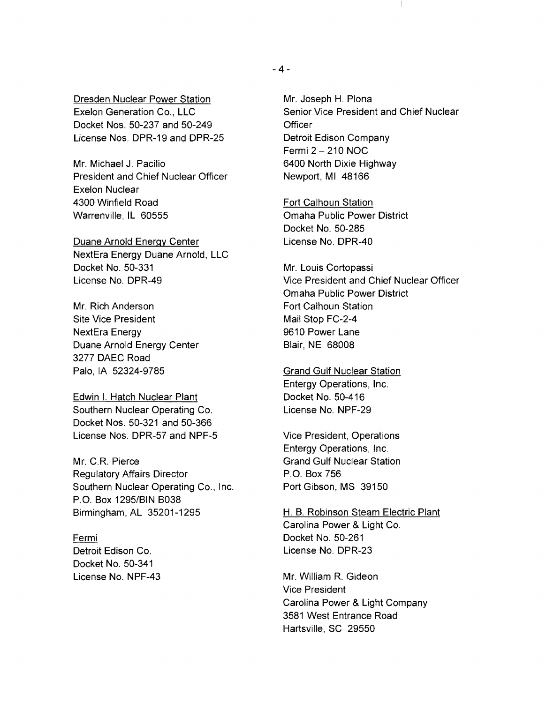Dresden Nuclear Power Station Exelon Generation Co., LLC Docket Nos. 50-237 and 50-249 License Nos. DPR-19 and DPR-25

Mr. Michael J. Pacilio President and Chief Nuclear Officer Exelon Nuclear 4300 Winfield Road Warrenville, IL 60555

Duane Arnold Energy Center NextEra Energy Duane Arnold, LLC Docket No. 50-331 License No. DPR-49

Mr. Rich Anderson Site Vice President NextEra Energy Duane Arnold Energy Center 3277 DAEC Road Palo, IA 52324-9785

Edwin I. Hatch Nuclear Plant Southern Nuclear Operating Co. Docket Nos. 50-321 and 50-366 License Nos. DPR-57 and NPF-5

Mr. C.R. Pierce Regulatory Affairs Director Southern Nuclear Operating Co., Inc. P.O. Box 1295/BIN B038 Birmingham, AL 35201-1295

Fermi Detroit Edison Co. Docket No. 50-341 License No. NPF-43 Mr. Joseph H. Plona Senior Vice President and Chief Nuclear **Officer** Detroit Edison Company Fermi  $2 - 210$  NOC 6400 North Dixie Highway Newport, MI 48166

Fort Calhoun Station Omaha Public Power District Docket No. 50-285 License No. DPR-40

Mr. Louis Cortopassi Vice President and Chief Nuclear Officer Omaha Public Power District Fort Calhoun Station Mail Stop FC-2-4 9610 Power Lane Blair, NE 68008

**Grand Gulf Nuclear Station** Entergy Operations, Inc. Docket No. 50-416 License No. NPF-29

Vice President, Operations Entergy Operations, Inc. Grand Gulf Nuclear Station P.O. Box 756 Port Gibson, MS 39150

H. B. Robinson Steam Electric Plant Carolina Power & Light Co. Docket No. 50-261 License No. DPR-23

Mr. William R. Gideon Vice President Carolina Power & Light Company 3581 West Entrance Road Hartsville, SC 29550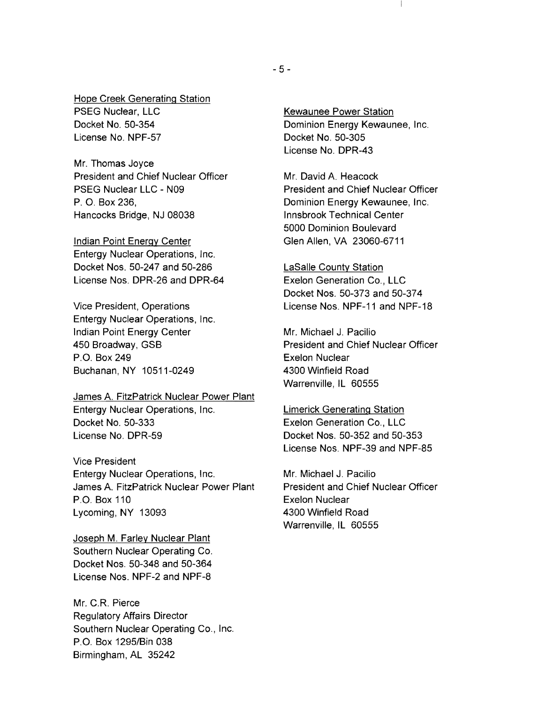Hope Creek Generating Station PSEG Nuclear, LLC Docket No. 50-354 License No. NPF-57

Mr. Thomas Joyce President and Chief Nuclear Officer PSEG Nuclear LLC - N09 P. O. Box 236, Hancocks Bridge, NJ 08038

Indian Point Energy Center Entergy Nuclear Operations, Inc. Docket Nos. 50-247 and 50-286 License Nos. DPR-26 and DPR-64

Vice President, Operations Entergy Nuclear Operations, Inc. Indian Point Energy Center 450 Broadway, GSB P.O. Box 249 Buchanan, NY 10511-0249

James A. FitzPatrick Nuclear Power Plant Entergy Nuclear Operations, Inc. Docket No. 50-333 License No. DPR-59

Vice President Entergy Nuclear Operations, Inc. James A. FitzPatrick Nuclear Power Plant P.O. Box 110 Lycoming, NY 13093

Joseph M. Farley Nuclear Plant Southern Nuclear Operating Co. Docket Nos. 50-348 and 50-364 License Nos. NPF-2 and NPF-8

Mr. C.R. Pierce Regulatory Affairs Director Southern Nuclear Operating Co., Inc. P.O. Box 1295/Bin 038 Birmingham, AL 35242

Kewaunee Power Station Dominion Energy Kewaunee, Inc. Docket No. 50-305 License No. DPR-43

Mr. David A. Heacock President and Chief Nuclear Officer Dominion Energy Kewaunee, Inc. Innsbrook Technical Center 5000 Dominion Boulevard Glen Allen, VA 23060-6711

LaSalle County Station Exelon Generation Co., LLC Docket Nos. 50-373 and 50-374 License Nos. NPF-11 and NPF-18

Mr. Michael J. Pacilio President and Chief Nuclear Officer Exelon Nuclear 4300 Win'field Road Warrenville, IL 60555

Limerick Generating Station Exelon Generation Co., LLC Docket Nos. 50-352 and 50-353 License Nos. NPF-39 and NPF-85

Mr. Michael J. Pacilio President and Chief Nuclear Officer Exelon Nuclear 4300 Winfield Road Warrenville, IL 60555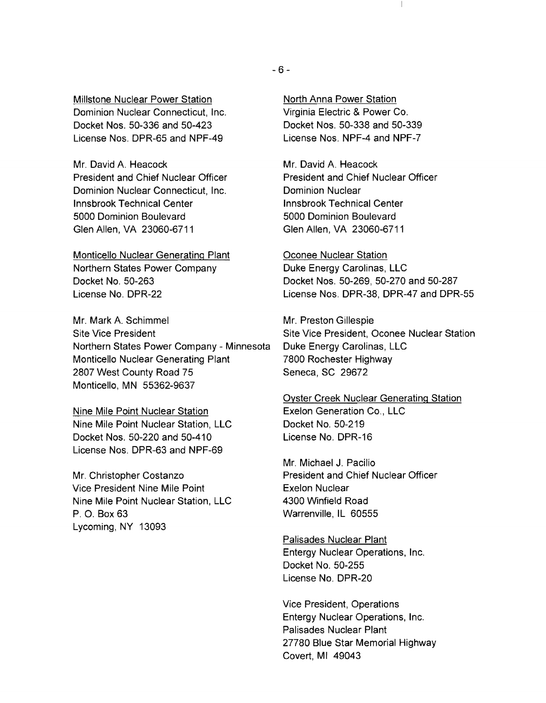Millstone Nuclear Power Station Dominion Nuclear Connecticut, Inc. Docket Nos. 50-336 and 50-423 License Nos. DPR-65 and NPF-49

Mr. David A. Heacock President and Chief Nuclear Officer Dominion Nuclear Connecticut, Inc. Innsbrook Technical Center 5000 Dominion Boulevard Glen Allen, VA 23060-6711

Monticello Nuclear Generating Plant Northern States Power Company Docket No. 50-263 License No. DPR-22

Mr. Mark A. Schimmel Site Vice President Northern States Power Company - Minnesota Monticello Nuclear Generating Plant 2807 West County Road 75 Monticello, MN 55362-9637

Nine Mile Point Nuclear Station Nine Mile Point Nuclear Station, LLC Docket Nos. 50-220 and 50-410 License Nos. DPR-63 and NPF-69

Mr. Christopher Costanzo Vice President Nine Mile Point Nine Mile Point Nuclear Station, LLC P. O. Box 63 Lycoming, NY 13093

North Anna Power Station Virginia Electric & Power Co. Docket Nos. 50-338 and 50-339 License Nos. NPF-4 and NPF-7

Mr. David A. Heacock President and Chief Nuclear Officer Dominion Nuclear Innsbrook Technical Center 5000 Dominion Boulevard Glen Allen, VA 23060-6711

Oconee Nuclear Station Duke Energy Carolinas, LLC Docket Nos. 50-269, 50-270 and 50-287 License Nos. DPR-38, DPR-47 and DPR-55

Mr. Preston Gillespie Site Vice President, Oconee Nuclear Station Duke Energy Carolinas, LLC 7800 Rochester Highway Seneca, SC 29672

Oyster Creek Nuclear Generating Station Exelon Generation Co., LLC Docket No. 50-219 License No. DPR-16

Mr. Michael J. Pacilio President and Chief Nuclear Officer Exelon Nuclear 4300 Winfield Road Warrenville, IL 60555

Palisades Nuclear Plant Entergy Nuclear Operations, Inc. Docket No. 50-255 License No. DPR-20

Vice President, Operations Entergy Nuclear Operations, Inc. Palisades Nuclear Plant 27780 Blue Star Memorial Highway Covert, MI 49043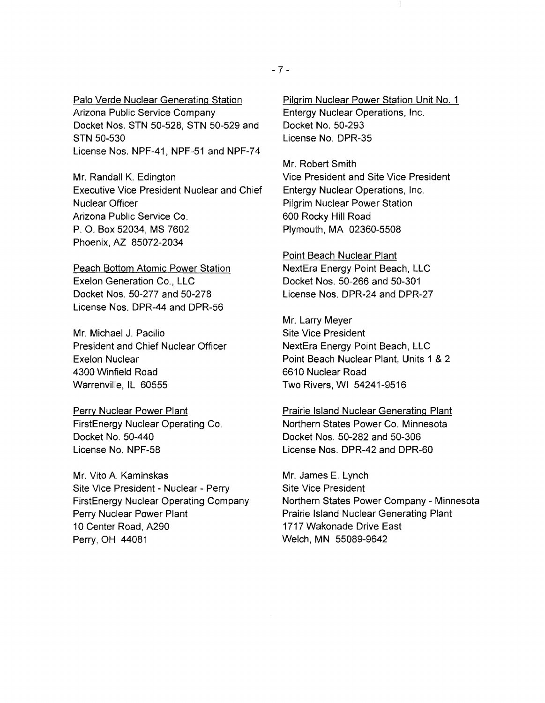Palo Verde Nuclear Generating Station Arizona Public Service Company Docket Nos. STN 50-528, STN 50-529 and STN 50-530 License Nos. NPF-41, NPF-51 and NPF-74

Mr. Randall K. Edington Executive Vice President Nuclear and Chief Nuclear Officer Arizona Public Service Co. P. O. Box 52034, MS 7602 Phoenix, AZ 85072-2034

Peach Bottom Atomic Power Station Exelon Generation Co., LLC Docket Nos. 50-277 and 50-278 License Nos. DPR-44 and DPR-56

Mr. Michael J. Pacilio President and Chief Nuclear Officer Exelon Nuclear 4300 Winfield Road Warrenville, IL 60555

Perry Nuclear Power Plant FirstEnergy Nuclear Operating Co. Docket No. 50-440 License No. NPF-58

Mr. Vito A Kaminskas Site Vice President - Nuclear - Perry FirstEnergy Nuclear Operating Company Perry Nuclear Power Plant 10 Center Road, A290 Perry,OH 44081

Pilgrim Nuclear Power Station Unit No.1 Entergy Nuclear Operations, Inc. Docket No. 50-293 License No. DPR-35

Mr. Robert Smith Vice President and Site Vice President Entergy Nuclear Operations, Inc. Pilgrim Nuclear Power Station 600 Rocky Hill Road Plymouth, MA 02360-5508

Point Beach Nuclear Plant NextEra Energy Point Beach, LLC Docket Nos. 50-266 and 50-301 License Nos. DPR-24 and DPR-27

Mr. Larry Meyer Site Vice President NextEra Energy Point Beach, LLC Point Beach Nuclear Plant, Units 1 & 2 6610 Nuclear Road Two Rivers, WI 54241-9516

Prairie Island Nuclear Generating Plant Northern States Power Co. Minnesota Docket Nos. 50-282 and 50-306 License Nos. DPR-42 and DPR-60

Mr. James E. Lynch Site Vice President Northern States Power Company - Minnesota Prairie Island Nuclear Generating Plant 1717 Wakonade Drive East Welch, MN 55089-9642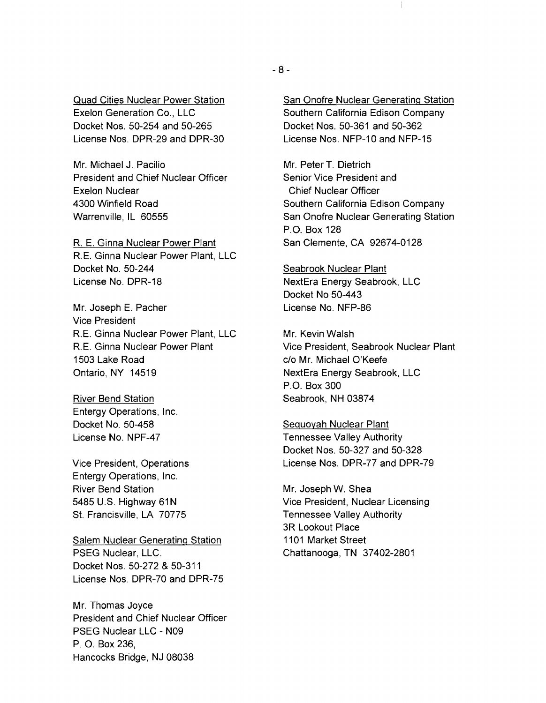Quad Cities Nuclear Power Station Exelon Generation Co., LLC Docket Nos. 50-254 and 50-265 License Nos. DPR-29 and DPR-30

Mr. Michael J. Pacilio President and Chief Nuclear Officer Exelon Nuclear 4300 Winfield Road Warrenville, IL 60555

R E. Ginna Nuclear Power Plant R E. Ginna Nuclear Power Plant, LLC Docket No. 50-244 License No. DPR-18

Mr. Joseph E. Pacher Vice President R.E. Ginna Nuclear Power Plant, LLC RE. Ginna Nuclear Power Plant 1503 Lake Road Ontario, NY 14519

River Bend Station Entergy Operations, Inc. Docket No. 50-458 License No. NPF-47

Vice President, Operations Entergy Operations, Inc. River Bend Station 5485 U.S. Highway 61N St. Francisville, LA 70775

Salem Nuclear Generating Station PSEG Nuclear, LLC. Docket Nos. 50-272 & 50-311 License Nos. DPR-70 and DPR-75

Mr. Thomas Joyce President and Chief Nuclear Officer PSEG Nuclear LLC - N09 P. O. Box 236, Hancocks Bridge, NJ 08038

San Onofre Nuclear Generating Station Southern California Edison Company Docket Nos. 50-361 and 50-362 License Nos. NFP-10 and NFP-15

L

Mr. Peter T. Dietrich Senior Vice President and Chief Nuclear Officer Southern California Edison Company San Onofre Nuclear Generating Station P.O. Box 128 San Clemente, CA 92674-0128

Seabrook Nuclear Plant NextEra Energy Seabrook, LLC Docket No 50-443 License No. NFP-86

Mr. Kevin Walsh Vice President, Seabrook Nuclear Plant c/o Mr. Michael O'Keefe NextEra Energy Seabrook, LLC P.O. Box 300 Seabrook, NH 03874

Sequoyah Nuclear Plant Tennessee Valley Authority Docket Nos. 50-327 and 50-328 License Nos. DPR-77 and DPR-79

Mr. Joseph W. Shea Vice President, Nuclear Licensing Tennessee Valley Authority 3R Lookout Place 1101 Market Street Chattanooga, TN 37402-2801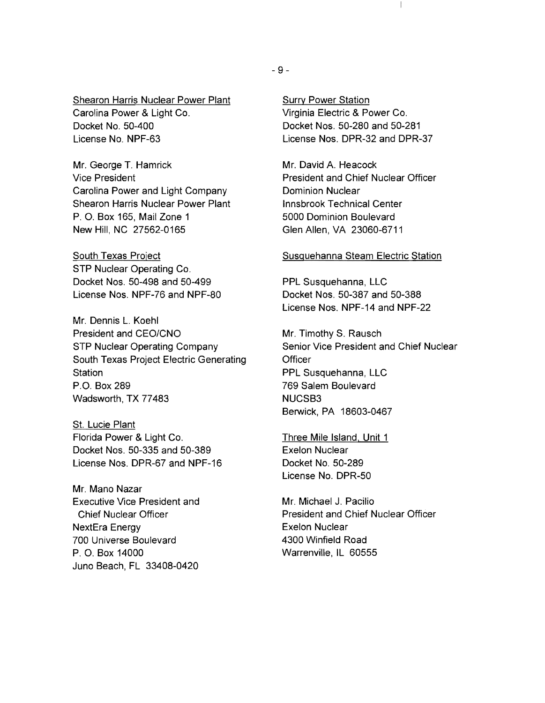#### Shearon Harris Nuclear Power Plant Carolina Power & Light Co. Docket No. 50-400 License No. NPF-63

Mr. George T. Hamrick Vice President Carolina Power and Light Company Shearon Harris Nuclear Power Plant P. O. Box 165, Mail Zone 1 New Hill, NC 27562-0165

South Texas Project STP Nuclear Operating Co. Docket Nos. 50-498 and 50-499 License Nos. NPF-76 and NPF-80

Mr. Dennis L. Koehl President and CEO/CNO STP Nuclear Operating Company South Texas Project Electric Generating **Station** P.O. Box 289 Wadsworth, TX 77483

St. Lucie Plant Florida Power & Light Co. Docket Nos. 50-335 and 50-389 License Nos. DPR-67 and NPF-16

Mr. Mano Nazar Executive Vice President and Chief Nuclear Officer NextEra Energy 700 Universe Boulevard P. O. Box 14000 Juno Beach, FL 33408-0420

Surry Power Station Virginia Electric & Power Co. Docket Nos. 50-280 and 50-281 License Nos. DPR-32 and DPR-37

 $\begin{array}{c} \hline \end{array}$ 

Mr. David A. Heacock President and Chief Nuclear Officer Dominion Nuclear Innsbrook Technical Center 5000 Dominion Boulevard Glen Allen, VA 23060-6711

#### Susquehanna Steam Electric Station

PPL Susquehanna, LLC Docket Nos. 50-387 and 50-388 License Nos. NPF-14 and NPF-22

Mr. Timothy S. Rausch Senior Vice President and Chief Nuclear Officer PPL Susquehanna, LLC 769 Salem Boulevard NUCSB3 Berwick, PA 18603-0467

Three Mile Island, Unit 1 Exelon Nuclear Docket No. 50-289 License No. DPR-50

Mr. Michael J. Pacilio President and Chief Nuclear Officer Exelon Nuclear 4300 Winfield Road Warrenville, IL 60555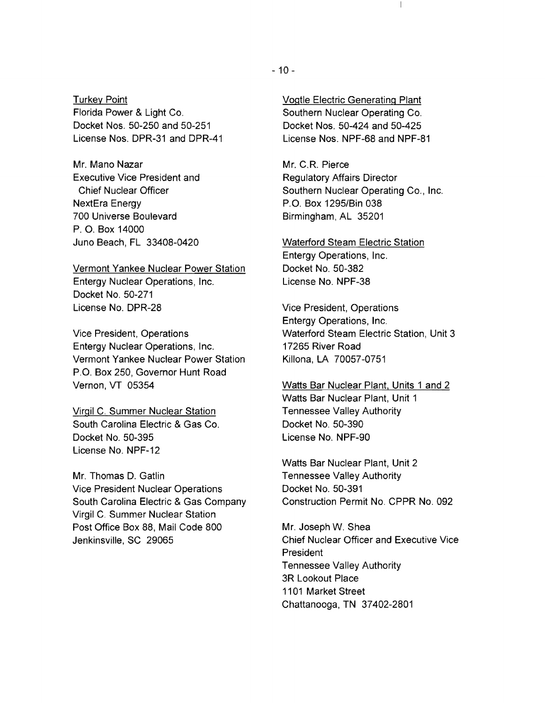Turkey Point Florida Power & Light Co. Docket Nos. 50-250 and 50-251 License Nos. DPR-31 and DPR-41

Mr. Mano Nazar Executive Vice President and Chief Nuclear Officer NextEra Energy 700 Universe Boulevard P. O. Box 14000 Juno Beach, FL 33408-0420

Vermont Yankee Nuclear Power Station Entergy Nuclear Operations, Inc. Docket No. 50-271 License No. DPR-28

Vice President, Operations Entergy Nuclear Operations, Inc. Vermont Yankee Nuclear Power Station P.O. Box 250, Governor Hunt Road Vernon, VT 05354

Virgil C. Summer Nuclear Station South Carolina Electric & Gas Co. Docket No. 50-395 License No. NPF-12

Mr. Thomas D. Gatlin Vice President Nuclear Operations South Carolina Electric & Gas Company Virgil C. Summer Nuclear Station Post Office Box 88, Mail Code 800 Jenkinsville, SC 29065

 $\mathbf{I}$ 

Mr. C.R Pierce Regulatory Affairs Director Southern Nuclear Operating Co., Inc. P.O. Box 1295/Bin 038 Birmingham, AL 35201

Waterford Steam Electric Station Entergy Operations, Inc. Docket No. 50-382 License No. NPF-38

Vice President, Operations Entergy Operations, Inc. Waterford Steam Electric Station, Unit 3 17265 River Road Killona, LA 70057-0751

Watts Bar Nuclear Plant. Units 1 and 2 Watts Bar Nuclear Plant, Unit 1 Tennessee Valley Authority Docket No. 50-390 License No. NPF-90

Watts Bar Nuclear Plant, Unit 2 Tennessee Valley Authority Docket No. 50-391 Construction Permit No. CPPR No. 092

Mr. Joseph W. Shea Chief Nuclear Officer and Executive Vice President Tennessee Valley Authority 3R Lookout Place 1101 Market Street Chattanooga, TN 37402-2801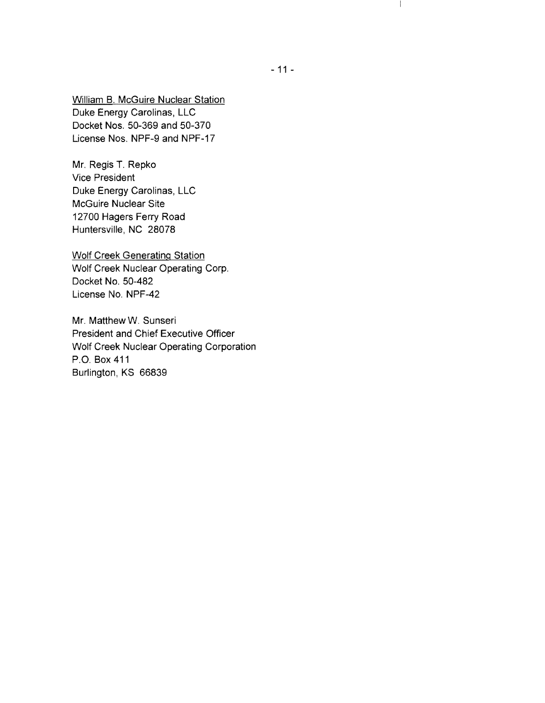William B. McGuire Nuclear Station Duke Energy Carolinas, LLC Docket Nos. 50-369 and 50-370 License Nos. NPF-9 and NPF-17

Mr. Regis T. Repko Vice President Duke Energy Carolinas, LLC McGuire Nuclear Site 12700 Hagers Ferry Road Huntersville, NC 28078

Wolf Creek Generating Station Wolf Creek Nuclear Operating Corp. Docket No. 50-482 License No. NPF-42

Mr. Matthew W. Sunseri President and Chief Executive Officer Wolf Creek Nuclear Operating Corporation P.O. Box411 Burlington, KS 66839

 $\begin{array}{c} \end{array}$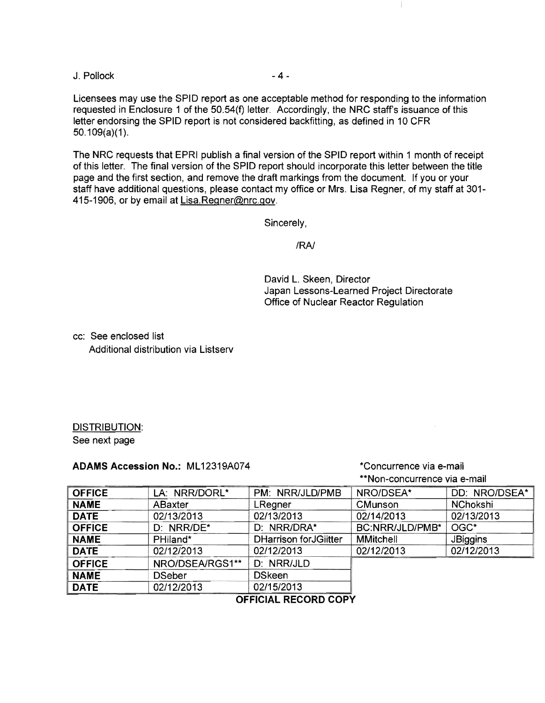$J.$  Pollock  $-4-$ 

Licensees may use the SPID report as one acceptable method for responding to the information requested in Enclosure 1 of the 50.54(f) letter. Accordingly, the NRC staff's issuance of this letter endorsing the SPID report is not considered backfitting, as defined in 10 CFR  $50.109(a)(1)$ .

The NRC requests that EPRI publish a final version of the SPID report within 1 month of receipt of this letter. The final version of the SPID report should incorporate this letter between the title page and the first section, and remove the draft markings from the document. If you or your staff have additional questions, please contact my office or Mrs. Lisa Regner, of my staff at 301 415-1906, or by email at Lisa.Regner@nrc.gov.

Sincerely,

IRAJ

David L. Skeen, Director Japan Lessons-Learned Project Directorate Office of Nuclear Reactor Regulation

Ť.

cc: See enclosed list Additional distribution via Listserv

#### DISTRIBUTION: See next page

## **ADAMS Accession No.: ML12319A074 <b>ADAMS** \*Concurrence via e-mail

# \*\*Non-concurrence via e-mail

| <b>OFFICE</b> | LA: NRR/DORL*   | PM: NRR/JLD/PMB               | NRO/DSEA*        | DD: NRO/DSEA*   |
|---------------|-----------------|-------------------------------|------------------|-----------------|
| <b>NAME</b>   | <b>ABaxter</b>  | LRegner                       | <b>CMunson</b>   | NChokshi        |
| <b>DATE</b>   | 02/13/2013      | 02/13/2013                    | 02/14/2013       | 02/13/2013      |
| <b>OFFICE</b> | D: NRR/DE*      | D: NRR/DRA*                   | BC:NRR/JLD/PMB*  | OGC*            |
| <b>NAME</b>   | PHiland*        | <b>DHarrison for JGiitter</b> | <b>MMitchell</b> | <b>JBiggins</b> |
| <b>DATE</b>   | 02/12/2013      | 02/12/2013                    | 02/12/2013       | 02/12/2013      |
| <b>OFFICE</b> | NRO/DSEA/RGS1** | D: NRR/JLD                    |                  |                 |
| <b>NAME</b>   | <b>DSeber</b>   | <b>DSkeen</b>                 |                  |                 |
| <b>DATE</b>   | 02/12/2013      | 02/15/2013                    |                  |                 |

## **OFFICIAL RECORD COPY**